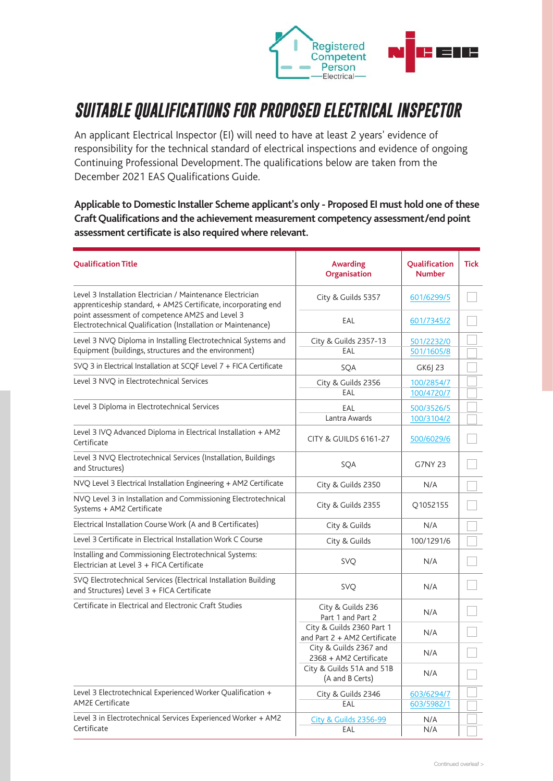

## *SUITABLE QUALIFICATIONS FOR PROPOSED ELECTRICAL INSPECTOR*

An applicant Electrical Inspector (EI) will need to have at least 2 years' evidence of responsibility for the technical standard of electrical inspections and evidence of ongoing Continuing Professional Development. The qualifications below are taken from the December 2021 EAS Qualifications Guide.

**Applicable to Domestic Installer Scheme applicant's only - Proposed EI must hold one of these Craft Qualifications and the achievement measurement competency assessment/end point assessment certificate is also required where relevant.**

| <b>Qualification Title</b>                                                                                                                                                                                                                      | <b>Awarding</b><br>Organisation                           | Qualification<br><b>Number</b> | <b>Tick</b> |
|-------------------------------------------------------------------------------------------------------------------------------------------------------------------------------------------------------------------------------------------------|-----------------------------------------------------------|--------------------------------|-------------|
| Level 3 Installation Electrician / Maintenance Electrician<br>apprenticeship standard, + AM2S Certificate, incorporating end<br>point assessment of competence AM2S and Level 3<br>Electrotechnical Qualification (Installation or Maintenance) | City & Guilds 5357                                        | 601/6299/5                     |             |
|                                                                                                                                                                                                                                                 | EAL                                                       | 601/7345/2                     |             |
| Level 3 NVQ Diploma in Installing Electrotechnical Systems and<br>Equipment (buildings, structures and the environment)                                                                                                                         | City & Guilds 2357-13<br>EAL                              | 501/2232/0<br>501/1605/8       |             |
| SVQ 3 in Electrical Installation at SCQF Level 7 + FICA Certificate                                                                                                                                                                             | SQA                                                       | GK6  23                        |             |
| Level 3 NVQ in Electrotechnical Services                                                                                                                                                                                                        | City & Guilds 2356<br>EAL                                 | 100/2854/7<br>100/4720/7       |             |
| Level 3 Diploma in Electrotechnical Services                                                                                                                                                                                                    | EAL<br>Lantra Awards                                      | 500/3526/5<br>100/3104/2       |             |
| Level 3 IVQ Advanced Diploma in Electrical Installation + AM2<br>Certificate                                                                                                                                                                    | <b>CITY &amp; GUILDS 6161-27</b>                          | 500/6029/6                     |             |
| Level 3 NVQ Electrotechnical Services (Installation, Buildings<br>and Structures)                                                                                                                                                               | SQA                                                       | <b>G7NY 23</b>                 |             |
| NVQ Level 3 Electrical Installation Engineering + AM2 Certificate                                                                                                                                                                               | City & Guilds 2350                                        | N/A                            |             |
| NVQ Level 3 in Installation and Commissioning Electrotechnical<br>Systems + AM2 Certificate                                                                                                                                                     | City & Guilds 2355                                        | Q1052155                       |             |
| Electrical Installation Course Work (A and B Certificates)                                                                                                                                                                                      | City & Guilds                                             | N/A                            |             |
| Level 3 Certificate in Electrical Installation Work C Course                                                                                                                                                                                    | City & Guilds                                             | 100/1291/6                     |             |
| Installing and Commissioning Electrotechnical Systems:<br>Electrician at Level 3 + FICA Certificate                                                                                                                                             | <b>SVQ</b>                                                | N/A                            |             |
| SVQ Electrotechnical Services (Electrical Installation Building<br>and Structures) Level 3 + FICA Certificate                                                                                                                                   | <b>SVQ</b>                                                | N/A                            |             |
| Certificate in Electrical and Electronic Craft Studies                                                                                                                                                                                          | City & Guilds 236<br>Part 1 and Part 2                    | N/A                            |             |
|                                                                                                                                                                                                                                                 | City & Guilds 2360 Part 1<br>and Part 2 + AM2 Certificate | N/A                            |             |
|                                                                                                                                                                                                                                                 | City & Guilds 2367 and<br>2368 + AM2 Certificate          | N/A                            |             |
|                                                                                                                                                                                                                                                 | City & Guilds 51A and 51B<br>(A and B Certs)              | N/A                            |             |
| Level 3 Electrotechnical Experienced Worker Qualification +<br><b>AM2E Certificate</b>                                                                                                                                                          | City & Guilds 2346                                        | 603/6294/7                     |             |
| Level 3 in Electrotechnical Services Experienced Worker + AM2                                                                                                                                                                                   | EAL<br><b>City &amp; Guilds 2356-99</b>                   | 603/5982/1<br>N/A              |             |
| Certificate                                                                                                                                                                                                                                     | EAL                                                       | N/A                            |             |